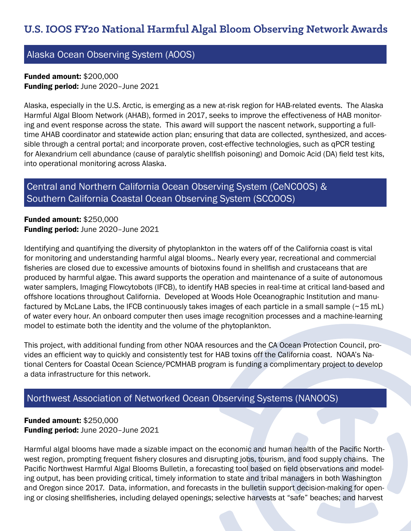# Alaska Ocean Observing System (AOOS)

Funded amount: \$200,000 Funding period: June 2020–June 2021

Alaska, especially in the U.S. Arctic, is emerging as a new at-risk region for HAB-related events. The Alaska Harmful Algal Bloom Network (AHAB), formed in 2017, seeks to improve the effectiveness of HAB monitoring and event response across the state. This award will support the nascent network, supporting a fulltime AHAB coordinator and statewide action plan; ensuring that data are collected, synthesized, and accessible through a central portal; and incorporate proven, cost-effective technologies, such as qPCR testing for Alexandrium cell abundance (cause of paralytic shellfish poisoning) and Domoic Acid (DA) field test kits, into operational monitoring across Alaska.

# Central and Northern California Ocean Observing System (CeNCOOS) & Southern California Coastal Ocean Observing System (SCCOOS)

Funded amount: \$250,000 Funding period: June 2020–June 2021

Identifying and quantifying the diversity of phytoplankton in the waters off of the California coast is vital for monitoring and understanding harmful algal blooms.. Nearly every year, recreational and commercial fisheries are closed due to excessive amounts of biotoxins found in shellfish and crustaceans that are produced by harmful algae. This award supports the operation and maintenance of a suite of autonomous water samplers, Imaging Flowcytobots (IFCB), to identify HAB species in real-time at critical land-based and offshore locations throughout California. Developed at Woods Hole Oceanographic Institution and manufactured by McLane Labs, the IFCB continuously takes images of each particle in a small sample ( $\sim$ 15 mL) of water every hour. An onboard computer then uses image recognition processes and a machine-learning model to estimate both the identity and the volume of the phytoplankton.

This project, with additional funding from other NOAA resources and the CA Ocean Protection Council, provides an efficient way to quickly and consistently test for HAB toxins off the California coast. NOAA's National Centers for Coastal Ocean Science/PCMHAB program is funding a complimentary project to develop a data infrastructure for this network.

#### Northwest Association of Networked Ocean Observing Systems (NANOOS)

Funded amount: \$250,000 Funding period: June 2020–June 2021

Harmful algal blooms have made a sizable impact on the economic and human health of the Pacific Northwest region, prompting frequent fishery closures and disrupting jobs, tourism, and food supply chains. The Pacific Northwest Harmful Algal Blooms Bulletin, a forecasting tool based on field observations and modeling output, has been providing critical, timely information to state and tribal managers in both Washington and Oregon since 2017. Data, information, and forecasts in the bulletin support decision-making for opening or closing shellfisheries, including delayed openings; selective harvests at "safe" beaches; and harvest